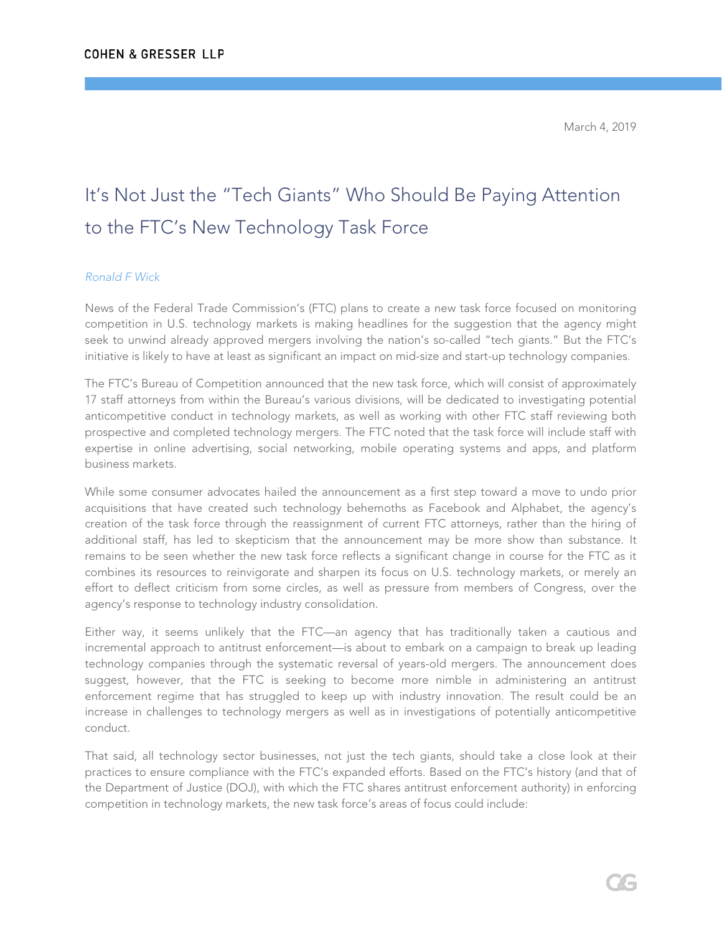## It's Not Just the "Tech Giants" Who Should Be Paying Attention to the FTC's New Technology Task Force

## *Ronald F Wick*

News of the Federal Trade Commission's (FTC) plans to create a new task force focused on monitoring competition in U.S. technology markets is making headlines for the suggestion that the agency might seek to unwind already approved mergers involving the nation's so-called "tech giants." But the FTC's initiative is likely to have at least as significant an impact on mid-size and start-up technology companies.

The FTC's Bureau of Competition announced that the new task force, which will consist of approximately 17 staff attorneys from within the Bureau's various divisions, will be dedicated to investigating potential anticompetitive conduct in technology markets, as well as working with other FTC staff reviewing both prospective and completed technology mergers. The FTC noted that the task force will include staff with expertise in online advertising, social networking, mobile operating systems and apps, and platform business markets.

While some consumer advocates hailed the announcement as a first step toward a move to undo prior acquisitions that have created such technology behemoths as Facebook and Alphabet, the agency's creation of the task force through the reassignment of current FTC attorneys, rather than the hiring of additional staff, has led to skepticism that the announcement may be more show than substance. It remains to be seen whether the new task force reflects a significant change in course for the FTC as it combines its resources to reinvigorate and sharpen its focus on U.S. technology markets, or merely an effort to deflect criticism from some circles, as well as pressure from members of Congress, over the agency's response to technology industry consolidation.

Either way, it seems unlikely that the FTC—an agency that has traditionally taken a cautious and incremental approach to antitrust enforcement—is about to embark on a campaign to break up leading technology companies through the systematic reversal of years-old mergers. The announcement does suggest, however, that the FTC is seeking to become more nimble in administering an antitrust enforcement regime that has struggled to keep up with industry innovation. The result could be an increase in challenges to technology mergers as well as in investigations of potentially anticompetitive conduct.

That said, all technology sector businesses, not just the tech giants, should take a close look at their practices to ensure compliance with the FTC's expanded efforts. Based on the FTC's history (and that of the Department of Justice (DOJ), with which the FTC shares antitrust enforcement authority) in enforcing competition in technology markets, the new task force's areas of focus could include: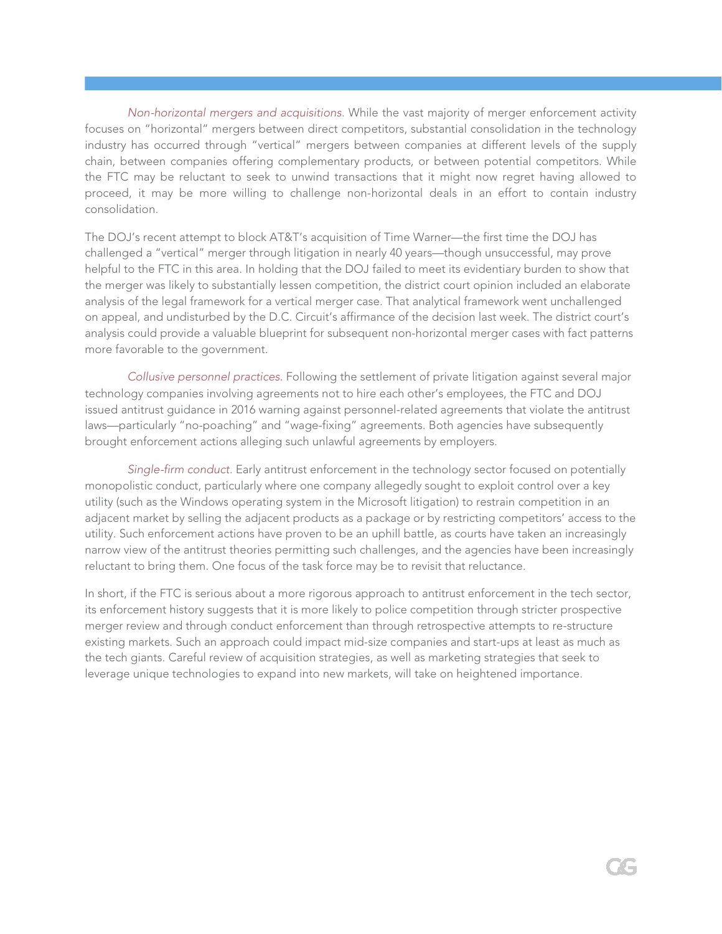*Non-horizontal mergers and acquisitions.* While the vast majority of merger enforcement activity focuses on "horizontal" mergers between direct competitors, substantial consolidation in the technology industry has occurred through "vertical" mergers between companies at different levels of the supply chain, between companies offering complementary products, or between potential competitors. While the FTC may be reluctant to seek to unwind transactions that it might now regret having allowed to proceed, it may be more willing to challenge non-horizontal deals in an effort to contain industry consolidation.

The DOJ's recent attempt to block AT&T's acquisition of Time Warner—the first time the DOJ has challenged a "vertical" merger through litigation in nearly 40 years—though unsuccessful, may prove helpful to the FTC in this area. In holding that the DOJ failed to meet its evidentiary burden to show that the merger was likely to substantially lessen competition, the district court opinion included an elaborate analysis of the legal framework for a vertical merger case. That analytical framework went unchallenged on appeal, and undisturbed by the D.C. Circuit's affirmance of the decision last week. The district court's analysis could provide a valuable blueprint for subsequent non-horizontal merger cases with fact patterns more favorable to the government.

*Collusive personnel practices.* Following the settlement of private litigation against several major technology companies involving agreements not to hire each other's employees, the FTC and DOJ issued antitrust guidance in 2016 warning against personnel-related agreements that violate the antitrust laws—particularly "no-poaching" and "wage-fixing" agreements. Both agencies have subsequently brought enforcement actions alleging such unlawful agreements by employers.

*Single-firm conduct.* Early antitrust enforcement in the technology sector focused on potentially monopolistic conduct, particularly where one company allegedly sought to exploit control over a key utility (such as the Windows operating system in the Microsoft litigation) to restrain competition in an adjacent market by selling the adjacent products as a package or by restricting competitors' access to the utility. Such enforcement actions have proven to be an uphill battle, as courts have taken an increasingly narrow view of the antitrust theories permitting such challenges, and the agencies have been increasingly reluctant to bring them. One focus of the task force may be to revisit that reluctance.

In short, if the FTC is serious about a more rigorous approach to antitrust enforcement in the tech sector, its enforcement history suggests that it is more likely to police competition through stricter prospective merger review and through conduct enforcement than through retrospective attempts to re-structure existing markets. Such an approach could impact mid-size companies and start-ups at least as much as the tech giants. Careful review of acquisition strategies, as well as marketing strategies that seek to leverage unique technologies to expand into new markets, will take on heightened importance.